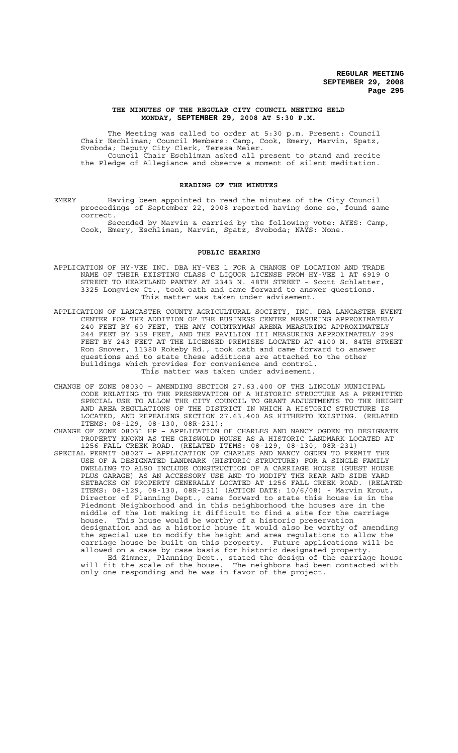#### **THE MINUTES OF THE REGULAR CITY COUNCIL MEETING HELD MONDAY, SEPTEMBER 29, 2008 AT 5:30 P.M.**

The Meeting was called to order at 5:30 p.m. Present: Council Chair Eschliman; Council Members: Camp, Cook, Emery, Marvin, Spatz, Svoboda; Deputy City Clerk, Teresa Meier. Council Chair Eschliman asked all present to stand and recite the Pledge of Allegiance and observe a moment of silent meditation.

## **READING OF THE MINUTES**

EMERY Having been appointed to read the minutes of the City Council proceedings of September 22, 2008 reported having done so, found same correct.

Seconded by Marvin & carried by the following vote: AYES: Camp, Cook, Emery, Eschliman, Marvin, Spatz, Svoboda; NAYS: None.

#### **PUBLIC HEARING**

- APPLICATION OF HY-VEE INC. DBA HY-VEE 1 FOR A CHANGE OF LOCATION AND TRADE NAME OF THEIR EXISTING CLASS C LIQUOR LICENSE FROM HY-VEE 1 AT 6919 O STREET TO HEARTLAND PANTRY AT 2343 N. 48TH STREET - Scott Schlatter, 3325 Longview Ct., took oath and came forward to answer questions. This matter was taken under advisement.
- APPLICATION OF LANCASTER COUNTY AGRICULTURAL SOCIETY, INC. DBA LANCASTER EVENT CENTER FOR THE ADDITION OF THE BUSINESS CENTER MEASURING APPROXIMATELY 240 FEET BY 60 FEET, THE AMY COUNTRYMAN ARENA MEASURING APPROXIMATELY 244 FEET BY 359 FEET, AND THE PAVILION III MEASURING APPROXIMATELY 299 FEET BY 243 FEET AT THE LICENSED PREMISES LOCATED AT 4100 N. 84TH STREET Ron Snover, 11380 Rokeby Rd., took oath and came forward to answer questions and to state these additions are attached to the other buildings which provides for convenience and control. This matter was taken under advisement.
- CHANGE OF ZONE 08030 AMENDING SECTION 27.63.400 OF THE LINCOLN MUNICIPAL CODE RELATING TO THE PRESERVATION OF A HISTORIC STRUCTURE AS A PERMITTED SPECIAL USE TO ALLOW THE CITY COUNCIL TO GRANT ADJUSTMENTS TO THE HEIGHT AND AREA REGULATIONS OF THE DISTRICT IN WHICH A HISTORIC STRUCTURE IS LOCATED, AND REPEALING SECTION 27.63.400 AS HITHERTO EXISTING. (RELATED ITEMS: 08-129, 08-130, 08R-231);

CHANGE OF ZONE 08031 HP – APPLICATION OF CHARLES AND NANCY OGDEN TO DESIGNATE PROPERTY KNOWN AS THE GRISWOLD HOUSE AS A HISTORIC LANDMARK LOCATED AT 1256 FALL CREEK ROAD. (RELATED ITEMS: 08-129, 08-130, 08R-231)

SPECIAL PERMIT 08027 – APPLICATION OF CHARLES AND NANCY OGDEN TO PERMIT THE USE OF A DESIGNATED LANDMARK (HISTORIC STRUCTURE) FOR A SINGLE FAMILY DWELLING TO ALSO INCLUDE CONSTRUCTION OF A CARRIAGE HOUSE (GUEST HOUSE PLUS GARAGE) AS AN ACCESSORY USE AND TO MODIFY THE REAR AND SIDE YARD SETBACKS ON PROPERTY GENERALLY LOCATED AT 1256 FALL CREEK ROAD. (RELATED ITEMS: 08-129, 08-130, 08R-231) (ACTION DATE: 10/6/08) - Marvin Krout, Director of Planning Dept., came forward to state this house is in the Piedmont Neighborhood and in this neighborhood the houses are in the middle of the lot making it difficult to find a site for the carriage house. This house would be worthy of a historic preservation designation and as a historic house it would also be worthy of amending the special use to modify the height and area regulations to allow the carriage house be built on this property. Future applications will be allowed on a case by case basis for historic designated property. Ed Zimmer, Planning Dept., stated the design of the carriage house

will fit the scale of the house. The neighbors had been contacted with only one responding and he was in favor of the project.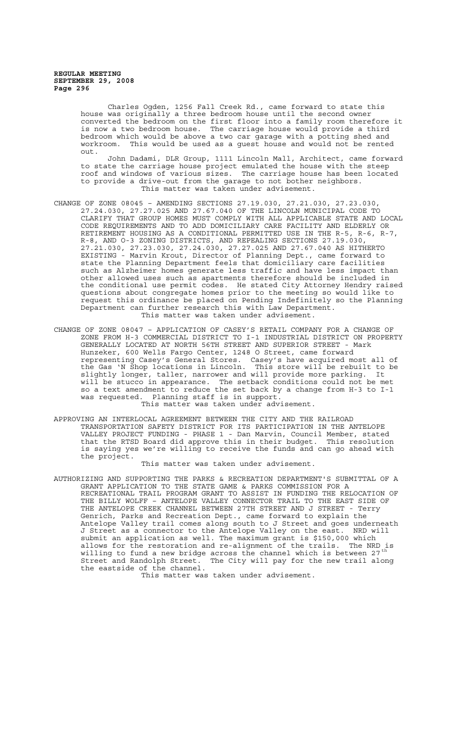> Charles Ogden, 1256 Fall Creek Rd., came forward to state this house was originally a three bedroom house until the second owner converted the bedroom on the first floor into a family room therefore it is now a two bedroom house. The carriage house would provide a third bedroom which would be above a two car garage with a potting shed and workroom. This would be used as a guest house and would not be rented out.

> John Dadami, DLR Group, 1111 Lincoln Mall, Architect, came forward to state the carriage house project emulated the house with the steep roof and windows of various sizes. The carriage house has been located to provide a drive-out from the garage to not bother neighbors. This matter was taken under advisement.

- CHANGE OF ZONE 08045 AMENDING SECTIONS 27.19.030, 27.21.030, 27.23.030, 27.24.030, 27.27.025 AND 27.67.040 OF THE LINCOLN MUNICIPAL CODE TO CLARIFY THAT GROUP HOMES MUST COMPLY WITH ALL APPLICABLE STATE AND LOCAL CODE REQUIREMENTS AND TO ADD DOMICILIARY CARE FACILITY AND ELDERLY OR RETIREMENT HOUSING AS A CONDITIONAL PERMITTED USE IN THE R-5, R-6, R-7, R-8, AND O-3 ZONING DISTRICTS, AND REPEALING SECTIONS 27.19.030, 27.21.030, 27.23.030, 27.24.030, 27.27.025 AND 27.67.040 AS HITHERTO EXISTING - Marvin Krout, Director of Planning Dept., came forward to state the Planning Department feels that domiciliary care facilities such as Alzheimer homes generate less traffic and have less impact than other allowed uses such as apartments therefore should be included in the conditional use permit codes. He stated City Attorney Hendry raised questions about congregate homes prior to the meeting so would like to request this ordinance be placed on Pending Indefinitely so the Planning Department can further research this with Law Department. This matter was taken under advisement.
- CHANGE OF ZONE 08047 APPLICATION OF CASEY'S RETAIL COMPANY FOR A CHANGE OF ZONE FROM H-3 COMMERCIAL DISTRICT TO I-1 INDUSTRIAL DISTRICT ON PROPERTY GENERALLY LOCATED AT NORTH 56TH STREET AND SUPERIOR STREET - Mark Hunzeker, 600 Wells Fargo Center, 1248 O Street, came forward representing Casey's General Stores. Casey's have acquired most all of the Gas 'N Shop locations in Lincoln. This store will be rebuilt to be slightly longer, taller, narrower and will provide more parking. It will be stucco in appearance. The setback conditions could not be met so a text amendment to reduce the set back by a change from H-3 to I-1 was requested. Planning staff is in support. This matter was taken under advisement.
- APPROVING AN INTERLOCAL AGREEMENT BETWEEN THE CITY AND THE RAILROAD TRANSPORTATION SAFETY DISTRICT FOR ITS PARTICIPATION IN THE ANTELOPE VALLEY PROJECT FUNDING - PHASE 1 - Dan Marvin, Council Member, stated that the RTSD Board did approve this in their budget. This resolution is saying yes we're willing to receive the funds and can go ahead with the project.

This matter was taken under advisement.

AUTHORIZING AND SUPPORTING THE PARKS & RECREATION DEPARTMENT'S SUBMITTAL OF A GRANT APPLICATION TO THE STATE GAME & PARKS COMMISSION FOR A RECREATIONAL TRAIL PROGRAM GRANT TO ASSIST IN FUNDING THE RELOCATION OF THE BILLY WOLFF – ANTELOPE VALLEY CONNECTOR TRAIL TO THE EAST SIDE OF THE ANTELOPE CREEK CHANNEL BETWEEN 27TH STREET AND J STREET - Terry Genrich, Parks and Recreation Dept., came forward to explain the Antelope Valley trail comes along south to J Street and goes underneath J Street as a connector to the Antelope Valley on the east. NRD will submit an application as well. The maximum grant is \$150,000 which allows for the restoration and re-alignment of the trails. The NRD is willing to fund a new bridge across the channel which is between 27  $^{\rm th}$ Street and Randolph Street. The City will pay for the new trail along the eastside of the channel.

This matter was taken under advisement.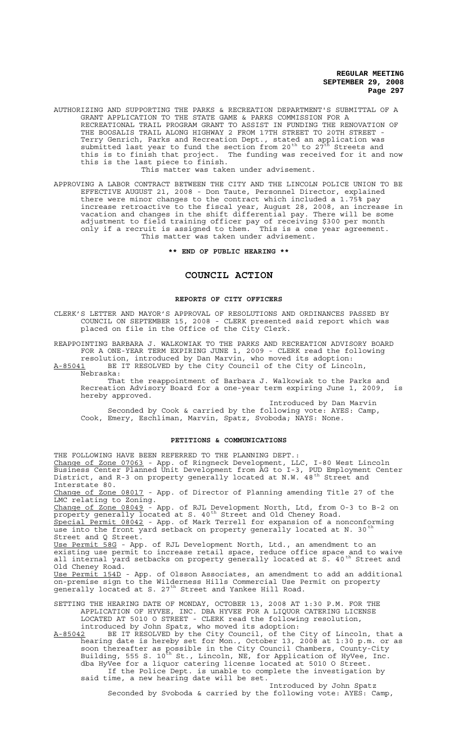AUTHORIZING AND SUPPORTING THE PARKS & RECREATION DEPARTMENT'S SUBMITTAL OF A GRANT APPLICATION TO THE STATE GAME & PARKS COMMISSION FOR A RECREATIONAL TRAIL PROGRAM GRANT TO ASSIST IN FUNDING THE RENOVATION OF THE BOOSALIS TRAIL ALONG HIGHWAY 2 FROM 17TH STREET TO 20TH STREET - Terry Genrich, Parks and Recreation Dept., stated an application was submitted last year to fund the section from 20<sup>th</sup> to 27<sup>th</sup> Streets and this is to finish that project. The funding was received for it and now this is the last piece to finish. This matter was taken under advisement.

APPROVING A LABOR CONTRACT BETWEEN THE CITY AND THE LINCOLN POLICE UNION TO BE EFFECTIVE AUGUST 21, 2008 - Don Taute, Personnel Director, explained there were minor changes to the contract which included a 1.75% pay increase retroactive to the fiscal year, August 28, 2008, an increase in vacation and changes in the shift differential pay. There will be some adjustment to field training officer pay of receiving \$300 per month only if a recruit is assigned to them. This is a one year agreement. This matter was taken under advisement.

**\*\* END OF PUBLIC HEARING \*\***

#### **COUNCIL ACTION**

#### **REPORTS OF CITY OFFICERS**

CLERK'S LETTER AND MAYOR'S APPROVAL OF RESOLUTIONS AND ORDINANCES PASSED BY COUNCIL ON SEPTEMBER 15, 2008 - CLERK presented said report which was placed on file in the Office of the City Clerk.

REAPPOINTING BARBARA J. WALKOWIAK TO THE PARKS AND RECREATION ADVISORY BOARD FOR A ONE-YEAR TERM EXPIRING JUNE 1, 2009 - CLERK read the following resolution, introduced by Dan Marvin, who moved its adoption:

A-85041 BE IT RESOLVED by the City Council of the City of Lincoln,  $A-85041$  BE  $\overline{R}$  Nebraska:

That the reappointment of Barbara J. Walkowiak to the Parks and Recreation Advisory Board for a one-year term expiring June 1, 2009, is hereby approved.

Introduced by Dan Marvin

Seconded by Cook & carried by the following vote: AYES: Camp, Cook, Emery, Eschliman, Marvin, Spatz, Svoboda; NAYS: None.

#### **PETITIONS & COMMUNICATIONS**

THE FOLLOWING HAVE BEEN REFERRED TO THE PLANNING DEPT.: Change of Zone 07063 - App. of Ringneck Development, LLC, I-80 West Lincoln Business Center Planned Unit Development from AG to I-3, PUD Employment Center District, and R-3 on property generally located at N.W. 48<sup>th</sup> Street and Interstate 80.<br>Change of Zone 08017 - App. of Director of Planning amending Title 27 of the Luange of Long ...<br>LMC relating to Zoning. Change of Zone 08049 - App. of RJL Development North, Ltd, from O-3 to B-2 on property generally located at S. 40<sup>th</sup> Street and Old Cheney Road. Special Permit 08042 - App. of Mark Terrell for expansion of a nonconforming use into the front yard setback on property generally located at N. 30 Street and Q Street. Use Permit 58G - App. of RJL Development North, Ltd., an amendment to an existing use permit to increase retail space, reduce office space and to waive all internal yard setbacks on property generally located at S. 40<sup>th</sup> Street and Old Cheney Road. <u>Use Permit 154D</u> - App. of Olsson Associates, an amendment to add an additional on-premise sign to the Wilderness Hills Commercial Use Permit on property generally located at S. 27<sup>th</sup> Street and Yankee Hill Road. SETTING THE HEARING DATE OF MONDAY, OCTOBER 13, 2008 AT 1:30 P.M. FOR THE APPLICATION OF HYVEE, INC. DBA HYVEE FOR A LIQUOR CATERING LICENSE LOCATED AT 5010 O STREET - CLERK read the following resolution, introduced by John Spatz, who moved its adoption: A-85042 BE IT RESOLVED by the City Council, of the City of Lincoln, that a hearing date is hereby set for Mon., October 13, 2008 at 1:30 p.m. or as

soon thereafter as possible in the City Council Chambers, County-City Building, 555 S. 10<sup>th</sup> St., Lincoln, NE, for Application of HyVee, Inc. dba HyVee for a liquor catering license located at 5010 O Street. If the Police Dept. is unable to complete the investigation by said time, a new hearing date will be set. Introduced by John Spatz

Seconded by Svoboda & carried by the following vote: AYES: Camp,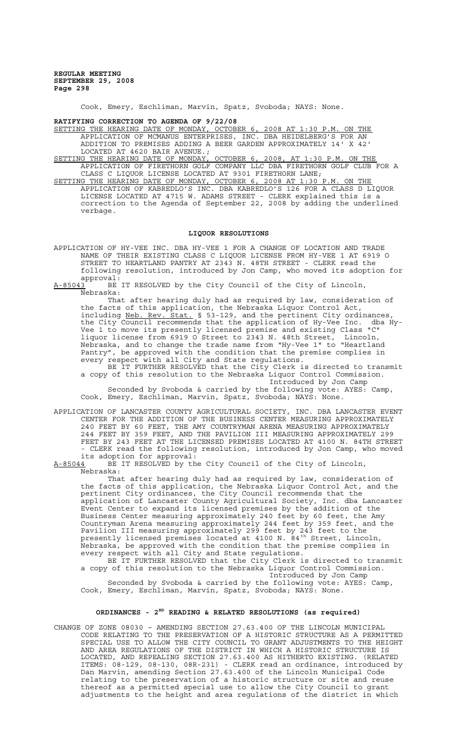Cook, Emery, Eschliman, Marvin, Spatz, Svoboda; NAYS: None.

**RATIFYING CORRECTION TO AGENDA OF 9/22/08**

SETTING THE HEARING DATE OF MONDAY, OCTOBER 6, 2008 AT 1:30 P.M. ON THE APPLICATION OF MCMANUS ENTERPRISES, INC. DBA HEIDELBERG'S FOR AN ADDITION TO PREMISES ADDING A BEER GARDEN APPROXIMATELY 14' X 42' LOCATED AT 4620 BAIR AVENUE.;<br>SETTING THE HEARING DATE OF MONDAY, OCTOBER 6,

SETTING THE HEARING DATE OF MONDAY, OCTOBER 6, 2008, AT 1:30 P.M. ON THE APPLICATION OF FIRETHORN GOLF COMPANY LLC DBA FIRETHORN GOLF CLUB FOR A CLASS C LIQUOR LICENSE LOCATED AT 9301 FIRETHORN LANE;

SETTING THE HEARING DATE OF MONDAY, OCTOBER 6, 2008 AT 1:30 P.M. ON THE APPLICATION OF KABREDLO'S INC. DBA KABREDLO'S 126 FOR A CLASS D LIQUOR LICENSE LOCATED AT 4715 W. ADAMS STREET - CLERK explained this is a correction to the Agenda of September 22, 2008 by adding the underlined verbage.

#### **LIQUOR RESOLUTIONS**

APPLICATION OF HY-VEE INC. DBA HY-VEE 1 FOR A CHANGE OF LOCATION AND TRADE NAME OF THEIR EXISTING CLASS C LIQUOR LICENSE FROM HY-VEE 1 AT 6919 O STREET TO HEARTLAND PANTRY AT 2343 N. 48TH STREET - CLERK read the following resolution, introduced by Jon Camp, who moved its adoption for approval:

A-85043 BE IT RESOLVED by the City Council of the City of Lincoln, Nebraska:

That after hearing duly had as required by law, consideration of the facts of this application, the Nebraska Liquor Control Act, including Neb. Rev. Stat. § 53-129, and the pertinent City ordinances, the City Council recommends that the application of Hy-Vee Inc. dba Hy-Vee 1 to move its presently licensed premise and existing Class "C" liquor license from 6919 O Street to 2343 N. 48th Street, Lincoln, Nebraska, and to change the trade name from "Hy-Vee 1" to "Heartland Pantry", be approved with the condition that the premise complies in every respect with all City and State regulations.

BE IT FURTHER RESOLVED that the City Clerk is directed to transmit a copy of this resolution to the Nebraska Liquor Control Commission. Introduced by Jon Camp

Seconded by Svoboda & carried by the following vote: AYES: Camp, Cook, Emery, Eschliman, Marvin, Spatz, Svoboda; NAYS: None.

APPLICATION OF LANCASTER COUNTY AGRICULTURAL SOCIETY, INC. DBA LANCASTER EVENT CENTER FOR THE ADDITION OF THE BUSINESS CENTER MEASURING APPROXIMATELY 240 FEET BY 60 FEET, THE AMY COUNTRYMAN ARENA MEASURING APPROXIMATELY 244 FEET BY 359 FEET, AND THE PAVILION III MEASURING APPROXIMATELY 299 FEET BY 243 FEET AT THE LICENSED PREMISES LOCATED AT 4100 N. 84TH STREET - CLERK read the following resolution, introduced by Jon Camp, who moved

its adoption for approval:<br>A-85044 BE IT RESOLVED by the BE IT RESOLVED by the City Council of the City of Lincoln, Nebraska:

That after hearing duly had as required by law, consideration of the facts of this application, the Nebraska Liquor Control Act, and the pertinent City ordinances, the City Council recommends that the application of Lancaster County Agricultural Society, Inc. dba Lancaster Event Center to expand its licensed premises by the addition of the Business Center measuring approximately 240 feet by 60 feet, the Amy Countryman Arena measuring approximately 244 feet by 359 feet, and the Pavilion III measuring approximately 299 feet by 243 feet to the presently licensed premises located at 4100 N. 84<sup>th</sup> Street, Lincoln, Nebraska, be approved with the condition that the premise complies in every respect with all City and State regulations.

BE IT FURTHER RESOLVED that the City Clerk is directed to transmit a copy of this resolution to the Nebraska Liquor Control Commission. Introduced by Jon Camp Seconded by Svoboda & carried by the following vote: AYES: Camp, Cook, Emery, Eschliman, Marvin, Spatz, Svoboda; NAYS: None.

# **ORDINANCES - 2ND READING & RELATED RESOLUTIONS (as required)**

CHANGE OF ZONE 08030 – AMENDING SECTION 27.63.400 OF THE LINCOLN MUNICIPAL CODE RELATING TO THE PRESERVATION OF A HISTORIC STRUCTURE AS A PERMITTED SPECIAL USE TO ALLOW THE CITY COUNCIL TO GRANT ADJUSTMENTS TO THE HEIGHT AND AREA REGULATIONS OF THE DISTRICT IN WHICH A HISTORIC STRUCTURE IS LOCATED, AND REPEALING SECTION 27.63.400 AS HITHERTO EXISTING. (RELATED ITEMS: 08-129, 08-130, 08R-231) - CLERK read an ordinance, introduced by Dan Marvin, amending Section 27.63.400 of the Lincoln Municipal Code relating to the preservation of a historic structure or site and reuse thereof as a permitted special use to allow the City Council to grant adjustments to the height and area regulations of the district in which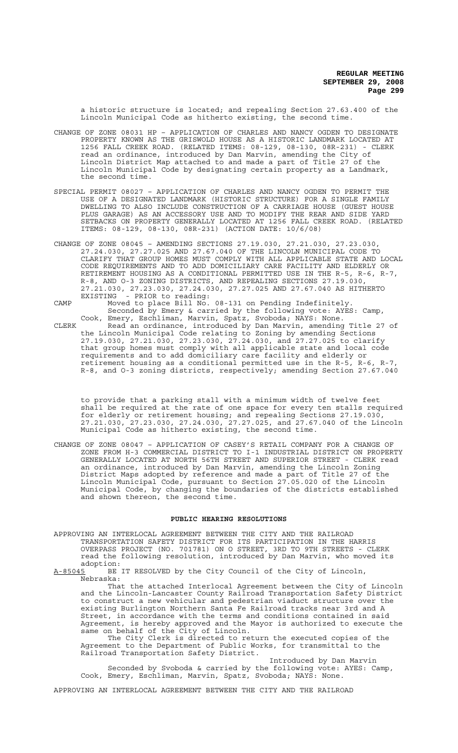a historic structure is located; and repealing Section 27.63.400 of the Lincoln Municipal Code as hitherto existing, the second time.

- CHANGE OF ZONE 08031 HP APPLICATION OF CHARLES AND NANCY OGDEN TO DESIGNATE PROPERTY KNOWN AS THE GRISWOLD HOUSE AS A HISTORIC LANDMARK LOCATED AT 1256 FALL CREEK ROAD. (RELATED ITEMS: 08-129, 08-130, 08R-231) - CLERK read an ordinance, introduced by Dan Marvin, amending the City of Lincoln District Map attached to and made a part of Title 27 of the Lincoln Municipal Code by designating certain property as a Landmark, the second time.
- SPECIAL PERMIT 08027 APPLICATION OF CHARLES AND NANCY OGDEN TO PERMIT THE USE OF A DESIGNATED LANDMARK (HISTORIC STRUCTURE) FOR A SINGLE FAMILY DWELLING TO ALSO INCLUDE CONSTRUCTION OF A CARRIAGE HOUSE (GUEST HOUSE PLUS GARAGE) AS AN ACCESSORY USE AND TO MODIFY THE REAR AND SIDE YARD SETBACKS ON PROPERTY GENERALLY LOCATED AT 1256 FALL CREEK ROAD. (RELATED ITEMS: 08-129, 08-130, 08R-231) (ACTION DATE: 10/6/08)
- CHANGE OF ZONE 08045 AMENDING SECTIONS 27.19.030, 27.21.030, 27.23.030, 27.24.030, 27.27.025 AND 27.67.040 OF THE LINCOLN MUNICIPAL CODE TO CLARIFY THAT GROUP HOMES MUST COMPLY WITH ALL APPLICABLE STATE AND LOCAL CODE REQUIREMENTS AND TO ADD DOMICILIARY CARE FACILITY AND ELDERLY OR RETIREMENT HOUSING AS A CONDITIONAL PERMITTED USE IN THE R-5, R-6, R-7, R-8, AND O-3 ZONING DISTRICTS, AND REPEALING SECTIONS 27.19.030, 27.21.030, 27.23.030, 27.24.030, 27.27.025 AND 27.67.040 AS HITHERTO EXISTING - PRIOR to reading:

CAMP Moved to place Bill No. 08-131 on Pending Indefinitely. Seconded by Emery & carried by the following vote: AYES: Camp, Cook, Emery, Eschliman, Marvin, Spatz, Svoboda; NAYS: None. CLERK Read an ordinance, introduced by Dan Marvin, amending Title 27 of the Lincoln Municipal Code relating to Zoning by amending Sections 27.19.030, 27.21.030, 27.23.030, 27.24.030, and 27.27.025 to clarify that group homes must comply with all applicable state and local code requirements and to add domiciliary care facility and elderly or retirement housing as a conditional permitted use in the R-5, R-6, R-7, R-8, and O-3 zoning districts, respectively; amending Section 27.67.040

to provide that a parking stall with a minimum width of twelve feet shall be required at the rate of one space for every ten stalls required for elderly or retirement housing; and repealing Sections 27.19.030, 27.21.030, 27.23.030, 27.24.030, 27.27.025, and 27.67.040 of the Lincoln Municipal Code as hitherto existing, the second time.

CHANGE OF ZONE 08047 – APPLICATION OF CASEY'S RETAIL COMPANY FOR A CHANGE OF ZONE FROM H-3 COMMERCIAL DISTRICT TO I-1 INDUSTRIAL DISTRICT ON PROPERTY GENERALLY LOCATED AT NORTH 56TH STREET AND SUPERIOR STREET - CLERK read an ordinance, introduced by Dan Marvin, amending the Lincoln Zoning District Maps adopted by reference and made a part of Title 27 of the Lincoln Municipal Code, pursuant to Section 27.05.020 of the Lincoln Municipal Code, by changing the boundaries of the districts established and shown thereon, the second time.

### **PUBLIC HEARING RESOLUTIONS**

- APPROVING AN INTERLOCAL AGREEMENT BETWEEN THE CITY AND THE RAILROAD TRANSPORTATION SAFETY DISTRICT FOR ITS PARTICIPATION IN THE HARRIS OVERPASS PROJECT (NO. 701781) ON O STREET, 3RD TO 9TH STREETS - CLERK read the following resolution, introduced by Dan Marvin, who moved its adoption:<br><u>A-85045</u> BE
- BE IT RESOLVED by the City Council of the City of Lincoln, Nebraska:

That the attached Interlocal Agreement between the City of Lincoln and the Lincoln-Lancaster County Railroad Transportation Safety District to construct a new vehicular and pedestrian viaduct structure over the existing Burlington Northern Santa Fe Railroad tracks near 3rd and A Street, in accordance with the terms and conditions contained in said Agreement, is hereby approved and the Mayor is authorized to execute the same on behalf of the City of Lincoln.

The City Clerk is directed to return the executed copies of the Agreement to the Department of Public Works, for transmittal to the Railroad Transportation Safety District.

Introduced by Dan Marvin Seconded by Svoboda & carried by the following vote: AYES: Camp, Cook, Emery, Eschliman, Marvin, Spatz, Svoboda; NAYS: None.

APPROVING AN INTERLOCAL AGREEMENT BETWEEN THE CITY AND THE RAILROAD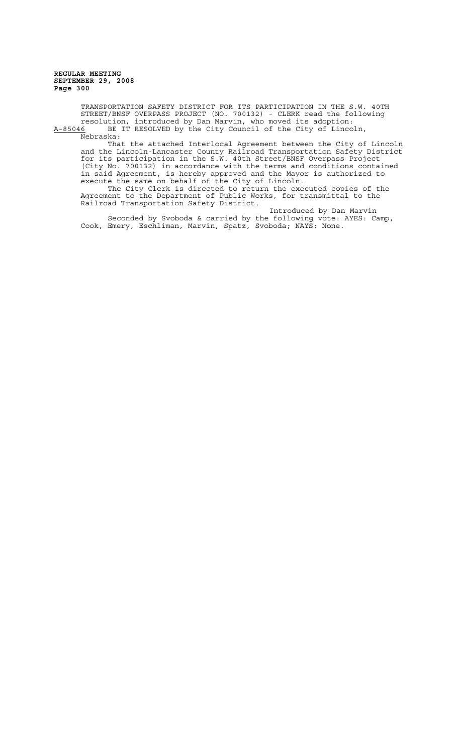TRANSPORTATION SAFETY DISTRICT FOR ITS PARTICIPATION IN THE S.W. 40TH STREET/BNSF OVERPASS PROJECT (NO. 700132) - CLERK read the following resolution, introduced by Dan Marvin, who moved its adoption: A-85046 BE IT RESOLVED by the City Council of the City of Lincoln,

Nebraska:

That the attached Interlocal Agreement between the City of Lincoln and the Lincoln-Lancaster County Railroad Transportation Safety District for its participation in the S.W. 40th Street/BNSF Overpass Project (City No. 700132) in accordance with the terms and conditions contained in said Agreement, is hereby approved and the Mayor is authorized to execute the same on behalf of the City of Lincoln.

The City Clerk is directed to return the executed copies of the Agreement to the Department of Public Works, for transmittal to the Railroad Transportation Safety District.

Introduced by Dan Marvin Seconded by Svoboda & carried by the following vote: AYES: Camp, Cook, Emery, Eschliman, Marvin, Spatz, Svoboda; NAYS: None.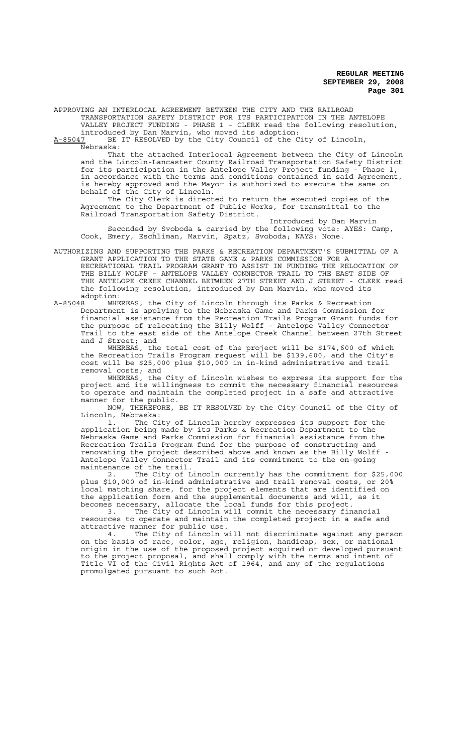APPROVING AN INTERLOCAL AGREEMENT BETWEEN THE CITY AND THE RAILROAD TRANSPORTATION SAFETY DISTRICT FOR ITS PARTICIPATION IN THE ANTELOPE VALLEY PROJECT FUNDING - PHASE 1 - CLERK read the following resolution,

introduced by Dan Marvin, who moved its adoption:<br>A-85047 BE IT RESOLVED by the City Council of the C

BE IT RESOLVED by the City Council of the City of Lincoln, Nebraska:

That the attached Interlocal Agreement between the City of Lincoln and the Lincoln-Lancaster County Railroad Transportation Safety District for its participation in the Antelope Valley Project funding - Phase 1, in accordance with the terms and conditions contained in said Agreement, is hereby approved and the Mayor is authorized to execute the same on behalf of the City of Lincoln.

The City Clerk is directed to return the executed copies of the Agreement to the Department of Public Works, for transmittal to the Railroad Transportation Safety District.

Introduced by Dan Marvin Seconded by Svoboda & carried by the following vote: AYES: Camp, Cook, Emery, Eschliman, Marvin, Spatz, Svoboda; NAYS: None.

AUTHORIZING AND SUPPORTING THE PARKS & RECREATION DEPARTMENT'S SUBMITTAL OF A GRANT APPLICATION TO THE STATE GAME & PARKS COMMISSION FOR A RECREATIONAL TRAIL PROGRAM GRANT TO ASSIST IN FUNDING THE RELOCATION OF THE BILLY WOLFF – ANTELOPE VALLEY CONNECTOR TRAIL TO THE EAST SIDE OF THE ANTELOPE CREEK CHANNEL BETWEEN 27TH STREET AND J STREET - CLERK read the following resolution, introduced by Dan Marvin, who moved its adoption:

A-85048 <sup>T</sup> WHEREAS, the City of Lincoln through its Parks & Recreation Department is applying to the Nebraska Game and Parks Commission for financial assistance from the Recreation Trails Program Grant funds for the purpose of relocating the Billy Wolff - Antelope Valley Connector Trail to the east side of the Antelope Creek Channel between 27th Street and J Street; and

WHEREAS, the total cost of the project will be \$174,600 of which the Recreation Trails Program request will be \$139,600, and the City's cost will be \$25,000 plus \$10,000 in in-kind administrative and trail removal costs; and

WHEREAS, the City of Lincoln wishes to express its support for the project and its willingness to commit the necessary financial resources to operate and maintain the completed project in a safe and attractive manner for the public.

NOW, THEREFORE, BE IT RESOLVED by the City Council of the City of Lincoln, Nebraska:

1. The City of Lincoln hereby expresses its support for the application being made by its Parks & Recreation Department to the Nebraska Game and Parks Commission for financial assistance from the Recreation Trails Program fund for the purpose of constructing and renovating the project described above and known as the Billy Wolff - Antelope Valley Connector Trail and its commitment to the on-going maintenance of the trail.

2. The City of Lincoln currently has the commitment for \$25,000 plus \$10,000 of in-kind administrative and trail removal costs, or 20% local matching share, for the project elements that are identified on the application form and the supplemental documents and will, as it becomes necessary, allocate the local funds for this project.

3. The City of Lincoln will commit the necessary financial resources to operate and maintain the completed project in a safe and attractive manner for public use.<br>4. The City of Lincoln w

The City of Lincoln will not discriminate against any person on the basis of race, color, age, religion, handicap, sex, or national origin in the use of the proposed project acquired or developed pursuant to the project proposal, and shall comply with the terms and intent of Title VI of the Civil Rights Act of 1964, and any of the regulations promulgated pursuant to such Act.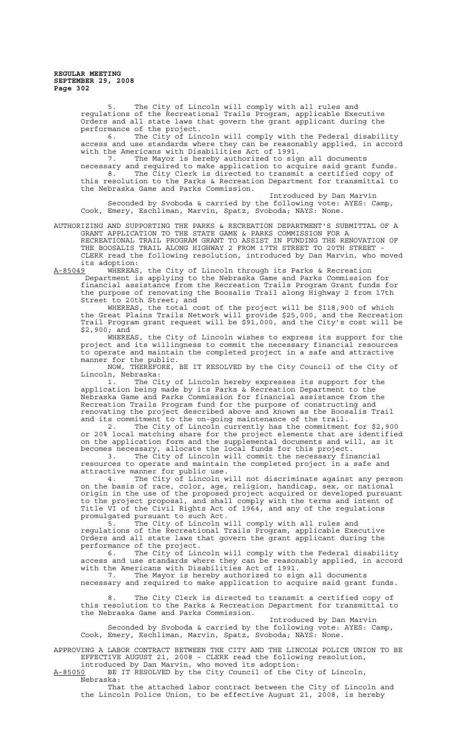5. The City of Lincoln will comply with all rules and regulations of the Recreational Trails Program, applicable Executive Orders and all state laws that govern the grant applicant during the performance of the project.

6. The City of Lincoln will comply with the Federal disability access and use standards where they can be reasonably applied, in accord with the Americans with Disabilities Act of 1991.

7. The Mayor is hereby authorized to sign all documents necessary and required to make application to acquire said grant funds. 8. The City Clerk is directed to transmit a certified copy of this resolution to the Parks & Recreation Department for transmittal to the Nebraska Game and Parks Commission.

Introduced by Dan Marvin Seconded by Svoboda & carried by the following vote: AYES: Camp, Cook, Emery, Eschliman, Marvin, Spatz, Svoboda; NAYS: None.

AUTHORIZING AND SUPPORTING THE PARKS & RECREATION DEPARTMENT'S SUBMITTAL OF A GRANT APPLICATION TO THE STATE GAME & PARKS COMMISSION FOR A RECREATIONAL TRAIL PROGRAM GRANT TO ASSIST IN FUNDING THE RENOVATION OF THE BOOSALIS TRAIL ALONG HIGHWAY 2 FROM 17TH STREET TO 20TH STREET - CLERK read the following resolution, introduced by Dan Marvin, who moved its adoption:<br><u>A-85049</u> WHEREAS

WHEREAS, the City of Lincoln through its Parks & Recreation Department is applying to the Nebraska Game and Parks Commission for financial assistance from the Recreation Trails Program Grant funds for the purpose of renovating the Boosalis Trail along Highway 2 from 17th Street to 20th Street; and

WHEREAS, the total cost of the project will be \$118,900 of which the Great Plains Trails Network will provide \$25,000, and the Recreation Trail Program grant request will be \$91,000, and the City's cost will be \$2,900; and

WHEREAS, the City of Lincoln wishes to express its support for the project and its willingness to commit the necessary financial resources to operate and maintain the completed project in a safe and attractive manner for the public.

NOW, THEREFORE, BE IT RESOLVED by the City Council of the City of Lincoln, Nebraska:

1. The City of Lincoln hereby expresses its support for the application being made by its Parks & Recreation Department to the Nebraska Game and Parks Commission for financial assistance from the Recreation Trails Program fund for the purpose of constructing and renovating the project described above and known as the Boosalis Trail and its commitment to the on-going maintenance of the trail.

2. The City of Lincoln currently has the commitment for \$2,900 or 20% local matching share for the project elements that are identified on the application form and the supplemental documents and will, as it becomes necessary, allocate the local funds for this project.

3. The City of Lincoln will commit the necessary financial resources to operate and maintain the completed project in a safe and attractive manner for public use.

4. The City of Lincoln will not discriminate against any person on the basis of race, color, age, religion, handicap, sex, or national origin in the use of the proposed project acquired or developed pursuant to the project proposal, and shall comply with the terms and intent of Title VI of the Civil Rights Act of 1964, and any of the regulations promulgated pursuant to such Act.

5. The City of Lincoln will comply with all rules and regulations of the Recreational Trails Program, applicable Executive Orders and all state laws that govern the grant applicant during the performance of the project.

6. The City of Lincoln will comply with the Federal disability access and use standards where they can be reasonably applied, in accord with the Americans with Disabilities Act of 1991.

7. The Mayor is hereby authorized to sign all documents necessary and required to make application to acquire said grant funds.

8. The City Clerk is directed to transmit a certified copy of this resolution to the Parks & Recreation Department for transmittal to the Nebraska Game and Parks Commission.

Introduced by Dan Marvin Seconded by Svoboda & carried by the following vote: AYES: Camp, Cook, Emery, Eschliman, Marvin, Spatz, Svoboda; NAYS: None.

APPROVING A LABOR CONTRACT BETWEEN THE CITY AND THE LINCOLN POLICE UNION TO BE EFFECTIVE AUGUST 21, 2008 - CLERK read the following resolution, introduced by Dan Marvin, who moved its adoption:

A-85050 BE IT RESOLVED by the City Council of the City of Lincoln, Nebraska:

That the attached labor contract between the City of Lincoln and the Lincoln Police Union, to be effective August 21, 2008, is hereby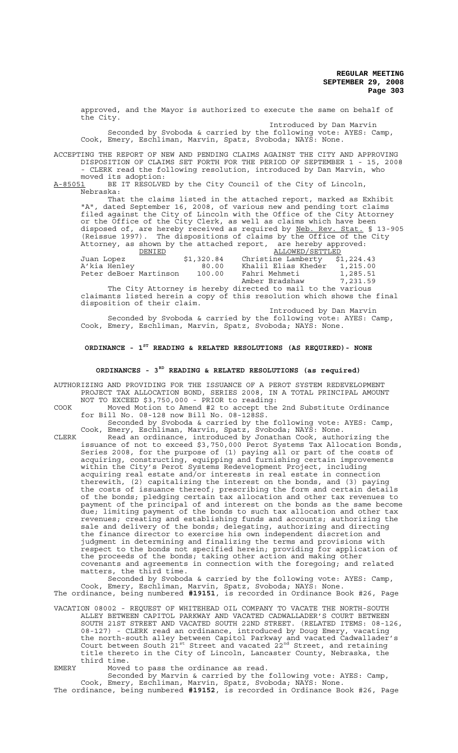approved, and the Mayor is authorized to execute the same on behalf of the City.

Introduced by Dan Marvin Seconded by Svoboda & carried by the following vote: AYES: Camp, Cook, Emery, Eschliman, Marvin, Spatz, Svoboda; NAYS: None.

ACCEPTING THE REPORT OF NEW AND PENDING CLAIMS AGAINST THE CITY AND APPROVING DISPOSITION OF CLAIMS SET FORTH FOR THE PERIOD OF SEPTEMBER 1 - 15, 2008 - CLERK read the following resolution, introduced by Dan Marvin, who

moved its adoption:<br>A-85051 BE IT RESOLVE BE IT RESOLVED by the City Council of the City of Lincoln, Nebraska:

That the claims listed in the attached report, marked as Exhibit "A", dated September 16, 2008, of various new and pending tort claims filed against the City of Lincoln with the Office of the City Attorney or the Office of the City Clerk, as well as claims which have been disposed of, are hereby received as required by Neb. Rev. Stat. § 13-905 (Reissue 1997). The dispositions of claims by the Office of the City Attorney, as shown by the attached report, are hereby approved:

| DENIED                 |            | ALLOWED/SETTLED     |            |
|------------------------|------------|---------------------|------------|
| Juan Lopez             | \$1,320.84 | Christine Lamberty  | \$1,224.43 |
| A'kia Henley           | 80.00      | Khalil Elias Kheder | 1,215.00   |
| Peter deBoer Martinson | 100.00     | Fahri Mehmeti       | 1,285.51   |
|                        |            | Amber Bradshaw      | 7,231.59   |

The City Attorney is hereby directed to mail to the various claimants listed herein a copy of this resolution which shows the final disposition of their claim.

Introduced by Dan Marvin Seconded by Svoboda & carried by the following vote: AYES: Camp, Cook, Emery, Eschliman, Marvin, Spatz, Svoboda; NAYS: None.

# **ORDINANCE - 1ST READING & RELATED RESOLUTIONS (AS REQUIRED)- NONE**

# **ORDINANCES - 3RD READING & RELATED RESOLUTIONS (as required)**

AUTHORIZING AND PROVIDING FOR THE ISSUANCE OF A PEROT SYSTEM REDEVELOPMENT PROJECT TAX ALLOCATION BOND, SERIES 2008, IN A TOTAL PRINCIPAL AMOUNT NOT TO EXCEED \$3,750,000 - PRIOR to reading:

- COOK Moved Motion to Amend #2 to accept the 2nd Substitute Ordinance for Bill No. 08-128 now Bill No. 08-128SS.
	- Seconded by Svoboda & carried by the following vote: AYES: Camp, Cook, Emery, Eschliman, Marvin, Spatz, Svoboda; NAYS: None.
- CLERK Read an ordinance, introduced by Jonathan Cook, authorizing the issuance of not to exceed \$3,750,000 Perot Systems Tax Allocation Bonds, Series 2008, for the purpose of (1) paying all or part of the costs of acquiring, constructing, equipping and furnishing certain improvements within the City's Perot Systems Redevelopment Project, including acquiring real estate and/or interests in real estate in connection therewith, (2) capitalizing the interest on the bonds, and (3) paying the costs of issuance thereof; prescribing the form and certain details of the bonds; pledging certain tax allocation and other tax revenues to payment of the principal of and interest on the bonds as the same become due; limiting payment of the bonds to such tax allocation and other tax revenues; creating and establishing funds and accounts; authorizing the sale and delivery of the bonds; delegating, authorizing and directing the finance director to exercise his own independent discretion and judgment in determining and finalizing the terms and provisions with respect to the bonds not specified herein; providing for application of the proceeds of the bonds; taking other action and making other covenants and agreements in connection with the foregoing; and related matters, the third time.

Seconded by Svoboda & carried by the following vote: AYES: Camp, Cook, Emery, Eschliman, Marvin, Spatz, Svoboda; NAYS: None. The ordinance, being numbered **#19151**, is recorded in Ordinance Book #26, Page

VACATION 08002 - REQUEST OF WHITEHEAD OIL COMPANY TO VACATE THE NORTH-SOUTH ALLEY BETWEEN CAPITOL PARKWAY AND VACATED CADWALLADER'S COURT BETWEEN SOUTH 21ST STREET AND VACATED SOUTH 22ND STREET. (RELATED ITEMS: 08-126, 08-127) - CLERK read an ordinance, introduced by Doug Emery, vacating the north-south alley between Capitol Parkway and vacated Cadwallader's Court between South  $21^{st}$  Street and vacated  $22^{nd}$  Street, and retaining title thereto in the City of Lincoln, Lancaster County, Nebraska, the third time.

EMERY Moved to pass the ordinance as read.

Seconded by Marvin & carried by the following vote: AYES: Camp, Cook, Emery, Eschliman, Marvin, Spatz, Svoboda; NAYS: None. The ordinance, being numbered **#19152**, is recorded in Ordinance Book #26, Page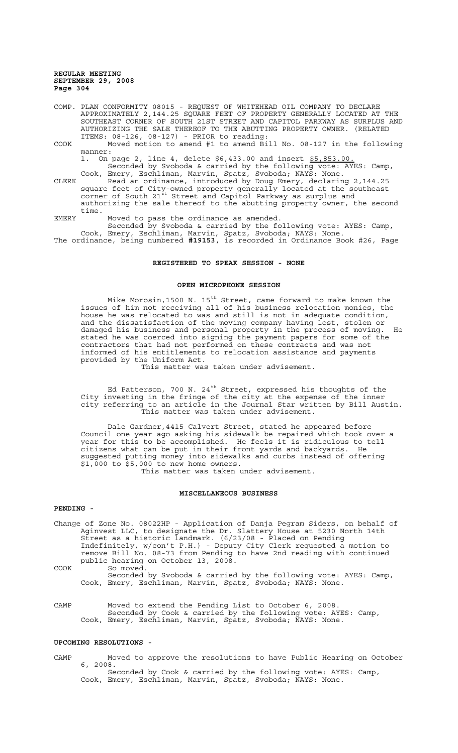COMP. PLAN CONFORMITY 08015 - REQUEST OF WHITEHEAD OIL COMPANY TO DECLARE APPROXIMATELY 2,144.25 SQUARE FEET OF PROPERTY GENERALLY LOCATED AT THE SOUTHEAST CORNER OF SOUTH 21ST STREET AND CAPITOL PARKWAY AS SURPLUS AND AUTHORIZING THE SALE THEREOF TO THE ABUTTING PROPERTY OWNER. (RELATED ITEMS: 08-126, 08-127) - PRIOR to reading:

COOK Moved motion to amend #1 to amend Bill No. 08-127 in the following manner:

1. On page 2, line 4, delete \$6,433.00 and insert \$5,853.00 Seconded by Svoboda & carried by the following vote: AYES: Camp, Cook, Emery, Eschliman, Marvin, Spatz, Svoboda; NAYS: None.

CLERK Read an ordinance, introduced by Doug Emery, declaring 2,144.25 square feet of City-owned property generally located at the southeast corner of South 21<sup>st</sup> Street and Capitol Parkway as surplus and authorizing the sale thereof to the abutting property owner, the second time.

EMERY Moved to pass the ordinance as amended. Seconded by Svoboda & carried by the following vote: AYES: Camp,

Cook, Emery, Eschliman, Marvin, Spatz, Svoboda; NAYS: None. The ordinance, being numbered **#19153**, is recorded in Ordinance Book #26, Page

#### **REGISTERED TO SPEAK SESSION - NONE**

# **OPEN MICROPHONE SESSION**

Mike Morosin,1500 N. 15<sup>th</sup> Street, came forward to make known the issues of him not receiving all of his business relocation monies, the house he was relocated to was and still is not in adequate condition, and the dissatisfaction of the moving company having lost, stolen or damaged his business and personal property in the process of moving. He stated he was coerced into signing the payment papers for some of the contractors that had not performed on these contracts and was not informed of his entitlements to relocation assistance and payments provided by the Uniform Act.

This matter was taken under advisement.

Ed Patterson, 700 N. 24<sup>th</sup> Street, expressed his thoughts of the City investing in the fringe of the city at the expense of the inner city referring to an article in the Journal Star written by Bill Austin. This matter was taken under advisement.

Dale Gardner,4415 Calvert Street, stated he appeared before Council one year ago asking his sidewalk be repaired which took over a year for this to be accomplished. He feels it is ridiculous to tell citizens what can be put in their front yards and backyards. He suggested putting money into sidewalks and curbs instead of offering \$1,000 to \$5,000 to new home owners.

This matter was taken under advisement.

# **MISCELLANEOUS BUSINESS**

#### **PENDING -**

Change of Zone No. 08022HP - Application of Danja Pegram Siders, on behalf of Aginvest LLC, to designate the Dr. Slattery House at 5230 North 14th Street as a historic landmark. (6/23/08 - Placed on Pending Indefinitely, w/con't P.H.) - Deputy City Clerk requested a motion to remove Bill No. 08-73 from Pending to have 2nd reading with continued public hearing on October 13, 2008. COOK So moved.

Seconded by Svoboda & carried by the following vote: AYES: Camp, Cook, Emery, Eschliman, Marvin, Spatz, Svoboda; NAYS: None.

CAMP Moved to extend the Pending List to October 6, 2008. Seconded by Cook & carried by the following vote: AYES: Camp, Cook, Emery, Eschliman, Marvin, Spatz, Svoboda; NAYS: None.

# **UPCOMING RESOLUTIONS -**

CAMP Moved to approve the resolutions to have Public Hearing on October 6, 2008. Seconded by Cook & carried by the following vote: AYES: Camp, Cook, Emery, Eschliman, Marvin, Spatz, Svoboda; NAYS: None.